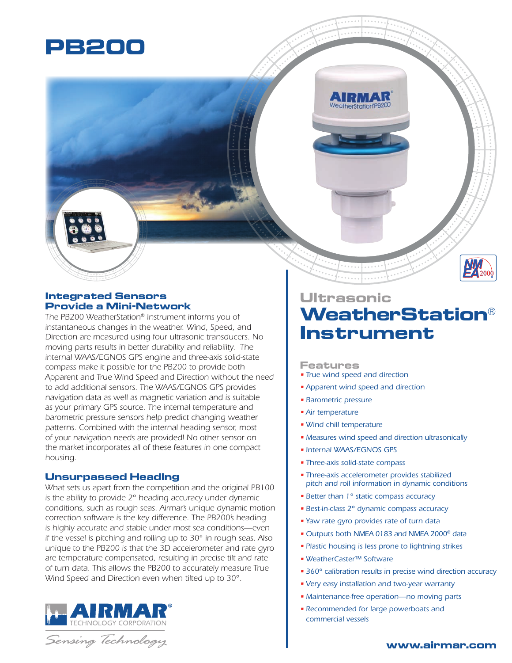

## **Integrated Sensors Provide a Mini-Network**

*The PB200 WeatherStation® Instrument informs you of instantaneous changes in the weather. Wind, Speed, and Direction are measured using four ultrasonic transducers. No moving parts results in better durability and reliability. The internal WAAS/EGNOS GPS engine and three-axis solid-state compass make it possible for the PB200 to provide both Apparent and True Wind Speed and Direction without the need to add additional sensors. The WAAS/EGNOS GPS provides navigation data as well as magnetic variation and is suitable as your primary GPS source. The internal temperature and barometric pressure sensors help predict changing weather patterns. Combined with the internal heading sensor, most of your navigation needs are provided! No other sensor on the market incorporates all of these features in one compact housing.*

### **Unsurpassed Heading**

*What sets us apart from the competition and the original PB100 is the ability to provide 2° heading accuracy under dynamic conditions, such as rough seas. Airmar's unique dynamic motion correction software is the key difference. The PB200's heading is highly accurate and stable under most sea conditions—even if the vessel is pitching and rolling up to 30° in rough seas. Also unique to the PB200 is that the 3D accelerometer and rate gyro are temperature compensated, resulting in precise tilt and rate of turn data. This allows the PB200 to accurately measure True Wind Speed and Direction even when tilted up to 30°.* 



Sensing Technology

# **Ultrasonic WeatherStation® Instrument**

#### **Features**

- *True wind speed and direction*
- *Apparent wind speed and direction*
- *Barometric pressure*
- *Air temperature*
- *Wind chill temperature*
- *Measures wind speed and direction ultrasonically*
- *Internal WAAS/EGNOS GPS*
- *Three-axis solid-state compass*
- *Three-axis accelerometer provides stabilized pitch and roll information in dynamic conditions*
- *Better than 1° static compass accuracy*
- *Best-in-class 2° dynamic compass accuracy*
- *Yaw rate gyro provides rate of turn data*
- *Outputs both NMEA 0183 and NMEA 2000® data*
- *Plastic housing is less prone to lightning strikes*
- *WeatherCaster™ Software*
- *360° calibration results in precise wind direction accuracy*
- *Very easy installation and two-year warranty*
- *Maintenance-free operation—no moving parts*
- *Recommended for large powerboats and commercial vessels*

**www.airmar.com**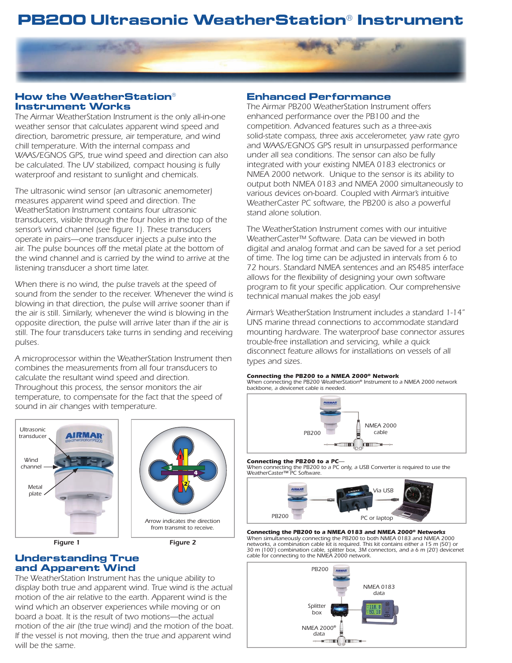# **PB200 Ultrasonic WeatherStation® Instrument**



## **How the WeatherStation® Instrument Works**

*The Airmar WeatherStation Instrument is the only all-in-one weather sensor that calculates apparent wind speed and direction, barometric pressure, air temperature, and wind chill temperature. With the internal compass and WAAS/EGNOS GPS, true wind speed and direction can also be calculated. The UV stabilized, compact housing is fully waterproof and resistant to sunlight and chemicals.*

*The ultrasonic wind sensor (an ultrasonic anemometer) measures apparent wind speed and direction. The WeatherStation Instrument contains four ultrasonic transducers, visible through the four holes in the top of the sensor's wind channel (see figure 1). These transducers operate in pairs—one transducer injects a pulse into the air. The pulse bounces off the metal plate at the bottom of the wind channel and is carried by the wind to arrive at the listening transducer a short time later.*

*When there is no wind, the pulse travels at the speed of sound from the sender to the receiver. Whenever the wind is*  blowing in that direction, the pulse will arrive sooner than if *the air is still. Similarly, whenever the wind is blowing in the opposite direction, the pulse will arrive later than if the air is*  still. The four transducers take turns in sending and receiving *pulses.*

*A microprocessor within the WeatherStation Instrument then combines the measurements from all four transducers to calculate the resultant wind speed and direction. Throughout this process, the sensor monitors the air temperature, to compensate for the fact that the speed of sound in air changes with temperature.*



## **Understanding True and Apparent Wind**

*The WeatherStation Instrument has the unique ability to display both true and apparent wind. True wind is the actual motion of the air relative to the earth. Apparent wind is the wind which an observer experiences while moving or on board a boat. It is the result of two motions—the actual motion of the air (the true wind) and the motion of the boat. If the vessel is not moving, then the true and apparent wind will be the same.*

#### **Enhanced Performance**

*The Airmar PB200 WeatherStation Instrument offers enhanced performance over the PB100 and the competition. Advanced features such as a three-axis solid-state compass, three axis accelerometer, yaw rate gyro and WAAS/EGNOS GPS result in unsurpassed performance under all sea conditions. The sensor can also be fully integrated with your existing NMEA 0183 electronics or NMEA 2000 network. Unique to the sensor is its ability to output both NMEA 0183 and NMEA 2000 simultaneously to various devices on-board. Coupled with Airmar's intuitive WeatherCaster PC software, the PB200 is also a powerful stand alone solution.*

*The WeatherStation Instrument comes with our intuitive WeatherCaster™ Software. Data can be viewed in both digital and analog format and can be saved for a set period of time. The log time can be adjusted in intervals from 6 to 72 hours. Standard NMEA sentences and an RS485 interface allows for the flexibility of designing your own software program to fit your specific application. Our comprehensive technical manual makes the job easy!*

*Airmar's WeatherStation Instrument includes a standard 1-14" UNS marine thread connections to accommodate standard mounting hardware. The waterproof base connector assures trouble-free installation and servicing, while a quick disconnect feature allows for installations on vessels of all types and sizes.*

#### *Connecting the PB200 to a NMEA 2000® Network*

*When connecting the PB200 WeatherStation® Instrument to a NMEA 2000 network backbone, a devicenet cable is needed.*



#### *Connecting the PB200 to a PC—*

*When connecting the PB200 to a PC only, a USB Converter is required to use the WeatherCaster™ PC Software.*



*Connecting the PB200 to a NMEA 0183 and NMEA 2000® Networks When simultaneously connecting the PB200 to both NMEA 0183 and NMEA 2000 networks, a combination cable kit is required. This kit contains either a 15 m (50') or 30 m (100') combination cable, splitter box, 3M connectors, and a 6 m (20') devicenet cable for connecting to the NMEA 2000 network.*

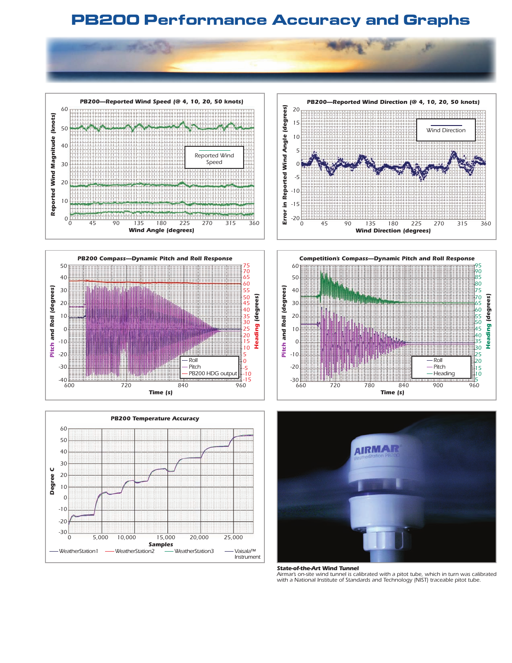# **PB200 Performance Accuracy and Graphs**













*State-of-the-Art Wind Tunnel Airmar's on-site wind tunnel is calibrated with a pitot tube, which in turn was calibrated with a National Institute of Standards and Technology (NIST) traceable pitot tube.*